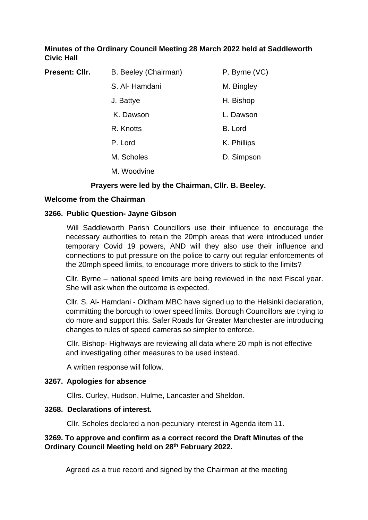## **Minutes of the Ordinary Council Meeting 28 March 2022 held at Saddleworth Civic Hall**

| Present: Cllr. | B. Beeley (Chairman) | P. Byrne (VC) |
|----------------|----------------------|---------------|
|                | S. Al-Hamdani        | M. Bingley    |
|                | J. Battye            | H. Bishop     |
|                | K. Dawson            | L. Dawson     |
|                | R. Knotts            | B. Lord       |
|                | P. Lord              | K. Phillips   |
|                | M. Scholes           | D. Simpson    |
|                | M. Woodvine          |               |
|                |                      |               |

## **Prayers were led by the Chairman, Cllr. B. Beeley.**

### **Welcome from the Chairman**

#### **3266. Public Question- Jayne Gibson**

Will Saddleworth Parish Councillors use their influence to encourage the necessary authorities to retain the 20mph areas that were introduced under temporary Covid 19 powers, AND will they also use their influence and connections to put pressure on the police to carry out regular enforcements of the 20mph speed limits, to encourage more drivers to stick to the limits?

Cllr. Byrne – national speed limits are being reviewed in the next Fiscal year. She will ask when the outcome is expected.

Cllr. S. Al- Hamdani - Oldham MBC have signed up to the Helsinki declaration, committing the borough to lower speed limits. Borough Councillors are trying to do more and support this. Safer Roads for Greater Manchester are introducing changes to rules of speed cameras so simpler to enforce.

Cllr. Bishop- Highways are reviewing all data where 20 mph is not effective and investigating other measures to be used instead.

A written response will follow.

#### **3267. Apologies for absence**

Cllrs. Curley, Hudson, Hulme, Lancaster and Sheldon.

#### **3268. Declarations of interest.**

Cllr. Scholes declared a non-pecuniary interest in Agenda item 11.

## **3269. To approve and confirm as a correct record the Draft Minutes of the Ordinary Council Meeting held on 28th February 2022.**

Agreed as a true record and signed by the Chairman at the meeting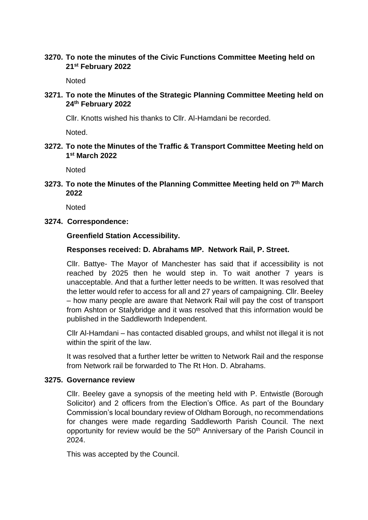### **3270. To note the minutes of the Civic Functions Committee Meeting held on 21st February 2022**

**Noted** 

**3271. To note the Minutes of the Strategic Planning Committee Meeting held on 24th February 2022**

Cllr. Knotts wished his thanks to Cllr. Al-Hamdani be recorded.

Noted.

**3272. To note the Minutes of the Traffic & Transport Committee Meeting held on 1 st March 2022**

**Noted** 

**3273. To note the Minutes of the Planning Committee Meeting held on 7th March 2022**

**Noted** 

**3274. Correspondence:**

**Greenfield Station Accessibility.**

## **Responses received: D. Abrahams MP. Network Rail, P. Street.**

Cllr. Battye- The Mayor of Manchester has said that if accessibility is not reached by 2025 then he would step in. To wait another 7 years is unacceptable. And that a further letter needs to be written. It was resolved that the letter would refer to access for all and 27 years of campaigning. Cllr. Beeley – how many people are aware that Network Rail will pay the cost of transport from Ashton or Stalybridge and it was resolved that this information would be published in the Saddleworth Independent.

Cllr Al-Hamdani – has contacted disabled groups, and whilst not illegal it is not within the spirit of the law.

It was resolved that a further letter be written to Network Rail and the response from Network rail be forwarded to The Rt Hon. D. Abrahams.

#### **3275. Governance review**

Cllr. Beeley gave a synopsis of the meeting held with P. Entwistle (Borough Solicitor) and 2 officers from the Election's Office. As part of the Boundary Commission's local boundary review of Oldham Borough, no recommendations for changes were made regarding Saddleworth Parish Council. The next opportunity for review would be the 50<sup>th</sup> Anniversary of the Parish Council in 2024.

This was accepted by the Council.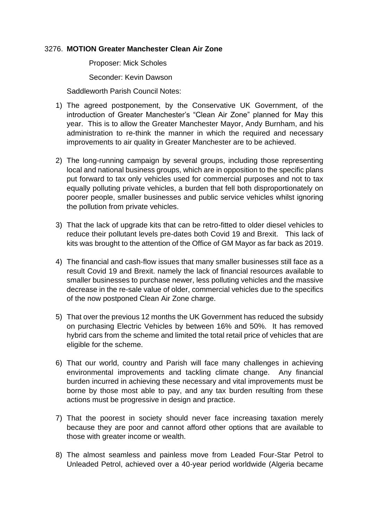#### 3276. **MOTION Greater Manchester Clean Air Zone**

Proposer: Mick Scholes

Seconder: Kevin Dawson

Saddleworth Parish Council Notes:

- 1) The agreed postponement, by the Conservative UK Government, of the introduction of Greater Manchester's "Clean Air Zone" planned for May this year. This is to allow the Greater Manchester Mayor, Andy Burnham, and his administration to re-think the manner in which the required and necessary improvements to air quality in Greater Manchester are to be achieved.
- 2) The long-running campaign by several groups, including those representing local and national business groups, which are in opposition to the specific plans put forward to tax only vehicles used for commercial purposes and not to tax equally polluting private vehicles, a burden that fell both disproportionately on poorer people, smaller businesses and public service vehicles whilst ignoring the pollution from private vehicles.
- 3) That the lack of upgrade kits that can be retro-fitted to older diesel vehicles to reduce their pollutant levels pre-dates both Covid 19 and Brexit. This lack of kits was brought to the attention of the Office of GM Mayor as far back as 2019.
- 4) The financial and cash-flow issues that many smaller businesses still face as a result Covid 19 and Brexit. namely the lack of financial resources available to smaller businesses to purchase newer, less polluting vehicles and the massive decrease in the re-sale value of older, commercial vehicles due to the specifics of the now postponed Clean Air Zone charge.
- 5) That over the previous 12 months the UK Government has reduced the subsidy on purchasing Electric Vehicles by between 16% and 50%. It has removed hybrid cars from the scheme and limited the total retail price of vehicles that are eligible for the scheme.
- 6) That our world, country and Parish will face many challenges in achieving environmental improvements and tackling climate change. Any financial burden incurred in achieving these necessary and vital improvements must be borne by those most able to pay, and any tax burden resulting from these actions must be progressive in design and practice.
- 7) That the poorest in society should never face increasing taxation merely because they are poor and cannot afford other options that are available to those with greater income or wealth.
- 8) The almost seamless and painless move from Leaded Four-Star Petrol to Unleaded Petrol, achieved over a 40-year period worldwide (Algeria became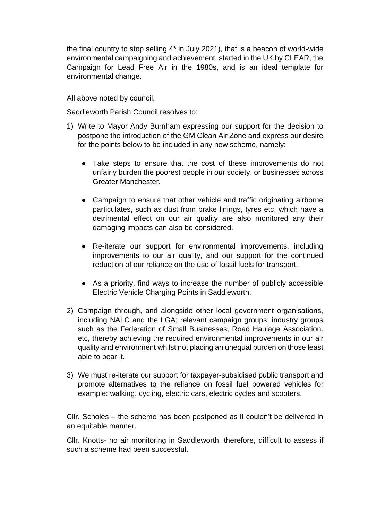the final country to stop selling 4\* in July 2021), that is a beacon of world-wide environmental campaigning and achievement, started in the UK by CLEAR, the Campaign for Lead Free Air in the 1980s, and is an ideal template for environmental change.

All above noted by council.

Saddleworth Parish Council resolves to:

- 1) Write to Mayor Andy Burnham expressing our support for the decision to postpone the introduction of the GM Clean Air Zone and express our desire for the points below to be included in any new scheme, namely:
	- Take steps to ensure that the cost of these improvements do not unfairly burden the poorest people in our society, or businesses across Greater Manchester.
	- Campaign to ensure that other vehicle and traffic originating airborne particulates, such as dust from brake linings, tyres etc, which have a detrimental effect on our air quality are also monitored any their damaging impacts can also be considered.
	- Re-iterate our support for environmental improvements, including improvements to our air quality, and our support for the continued reduction of our reliance on the use of fossil fuels for transport.
	- As a priority, find ways to increase the number of publicly accessible Electric Vehicle Charging Points in Saddleworth.
- 2) Campaign through, and alongside other local government organisations, including NALC and the LGA; relevant campaign groups; industry groups such as the Federation of Small Businesses, Road Haulage Association. etc, thereby achieving the required environmental improvements in our air quality and environment whilst not placing an unequal burden on those least able to bear it.
- 3) We must re-iterate our support for taxpayer-subsidised public transport and promote alternatives to the reliance on fossil fuel powered vehicles for example: walking, cycling, electric cars, electric cycles and scooters.

Cllr. Scholes – the scheme has been postponed as it couldn't be delivered in an equitable manner.

Cllr. Knotts- no air monitoring in Saddleworth, therefore, difficult to assess if such a scheme had been successful.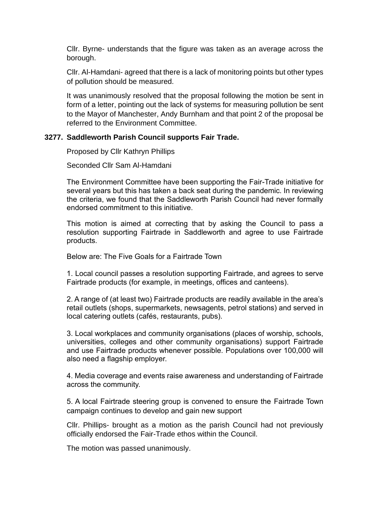Cllr. Byrne- understands that the figure was taken as an average across the borough.

Cllr. Al-Hamdani- agreed that there is a lack of monitoring points but other types of pollution should be measured.

It was unanimously resolved that the proposal following the motion be sent in form of a letter, pointing out the lack of systems for measuring pollution be sent to the Mayor of Manchester, Andy Burnham and that point 2 of the proposal be referred to the Environment Committee.

#### **3277. Saddleworth Parish Council supports Fair Trade.**

Proposed by Cllr Kathryn Phillips

Seconded Cllr Sam Al-Hamdani

The Environment Committee have been supporting the Fair-Trade initiative for several years but this has taken a back seat during the pandemic. In reviewing the criteria, we found that the Saddleworth Parish Council had never formally endorsed commitment to this initiative.

This motion is aimed at correcting that by asking the Council to pass a resolution supporting Fairtrade in Saddleworth and agree to use Fairtrade products.

Below are: The Five Goals for a Fairtrade Town

1. Local council passes a resolution supporting Fairtrade, and agrees to serve Fairtrade products (for example, in meetings, offices and canteens).

2. A range of (at least two) Fairtrade products are readily available in the area's retail outlets (shops, supermarkets, newsagents, petrol stations) and served in local catering outlets (cafés, restaurants, pubs).

3. Local workplaces and community organisations (places of worship, schools, universities, colleges and other community organisations) support Fairtrade and use Fairtrade products whenever possible. Populations over 100,000 will also need a flagship employer.

4. Media coverage and events raise awareness and understanding of Fairtrade across the community.

5. A local Fairtrade steering group is convened to ensure the Fairtrade Town campaign continues to develop and gain new support

Cllr. Phillips- brought as a motion as the parish Council had not previously officially endorsed the Fair-Trade ethos within the Council.

The motion was passed unanimously.